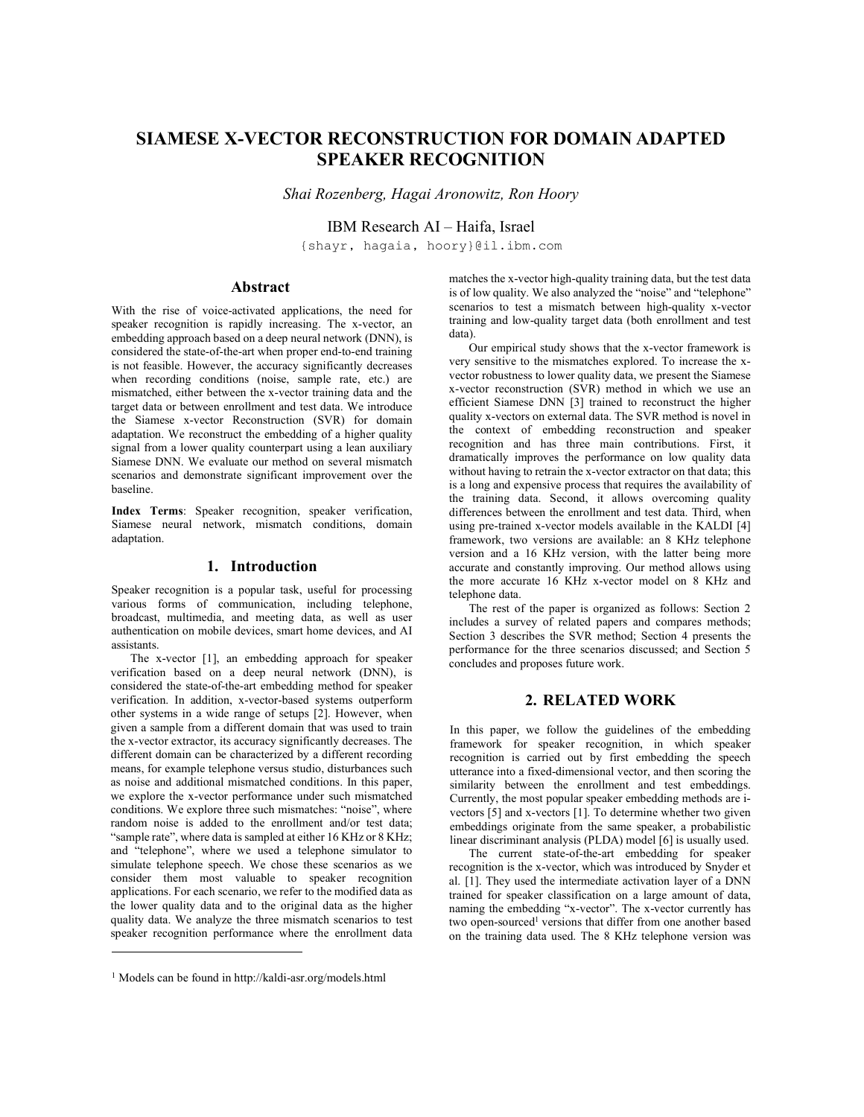# SIAMESE X-VECTOR RECONSTRUCTION FOR DOMAIN ADAPTED SPEAKER RECOGNITION

Shai Rozenberg, Hagai Aronowitz, Ron Hoory

IBM Research AI – Haifa, Israel

{shayr, hagaia, hoory}@il.ibm.com

## Abstract

With the rise of voice-activated applications, the need for speaker recognition is rapidly increasing. The x-vector, an embedding approach based on a deep neural network (DNN), is considered the state-of-the-art when proper end-to-end training is not feasible. However, the accuracy significantly decreases when recording conditions (noise, sample rate, etc.) are mismatched, either between the x-vector training data and the target data or between enrollment and test data. We introduce the Siamese x-vector Reconstruction (SVR) for domain adaptation. We reconstruct the embedding of a higher quality signal from a lower quality counterpart using a lean auxiliary Siamese DNN. We evaluate our method on several mismatch scenarios and demonstrate significant improvement over the baseline.

Index Terms: Speaker recognition, speaker verification, Siamese neural network, mismatch conditions, domain adaptation.

## 1. Introduction

Speaker recognition is a popular task, useful for processing various forms of communication, including telephone, broadcast, multimedia, and meeting data, as well as user authentication on mobile devices, smart home devices, and AI assistants.

The x-vector [1], an embedding approach for speaker verification based on a deep neural network (DNN), is considered the state-of-the-art embedding method for speaker verification. In addition, x-vector-based systems outperform other systems in a wide range of setups [2]. However, when given a sample from a different domain that was used to train the x-vector extractor, its accuracy significantly decreases. The different domain can be characterized by a different recording means, for example telephone versus studio, disturbances such as noise and additional mismatched conditions. In this paper, we explore the x-vector performance under such mismatched conditions. We explore three such mismatches: "noise", where random noise is added to the enrollment and/or test data; "sample rate", where data is sampled at either 16 KHz or 8 KHz; and "telephone", where we used a telephone simulator to simulate telephone speech. We chose these scenarios as we consider them most valuable to speaker recognition applications. For each scenario, we refer to the modified data as the lower quality data and to the original data as the higher quality data. We analyze the three mismatch scenarios to test speaker recognition performance where the enrollment data

matches the x-vector high-quality training data, but the test data is of low quality. We also analyzed the "noise" and "telephone" scenarios to test a mismatch between high-quality x-vector training and low-quality target data (both enrollment and test data).

Our empirical study shows that the x-vector framework is very sensitive to the mismatches explored. To increase the xvector robustness to lower quality data, we present the Siamese x-vector reconstruction (SVR) method in which we use an efficient Siamese DNN [3] trained to reconstruct the higher quality x-vectors on external data. The SVR method is novel in the context of embedding reconstruction and speaker recognition and has three main contributions. First, it dramatically improves the performance on low quality data without having to retrain the x-vector extractor on that data; this is a long and expensive process that requires the availability of the training data. Second, it allows overcoming quality differences between the enrollment and test data. Third, when using pre-trained x-vector models available in the KALDI [4] framework, two versions are available: an 8 KHz telephone version and a 16 KHz version, with the latter being more accurate and constantly improving. Our method allows using the more accurate 16 KHz x-vector model on 8 KHz and telephone data.

The rest of the paper is organized as follows: Section 2 includes a survey of related papers and compares methods; Section 3 describes the SVR method; Section 4 presents the performance for the three scenarios discussed; and Section 5 concludes and proposes future work.

### 2. RELATED WORK

In this paper, we follow the guidelines of the embedding framework for speaker recognition, in which speaker recognition is carried out by first embedding the speech utterance into a fixed-dimensional vector, and then scoring the similarity between the enrollment and test embeddings. Currently, the most popular speaker embedding methods are ivectors [5] and x-vectors [1]. To determine whether two given embeddings originate from the same speaker, a probabilistic linear discriminant analysis (PLDA) model [6] is usually used.

The current state-of-the-art embedding for speaker recognition is the x-vector, which was introduced by Snyder et al. [1]. They used the intermediate activation layer of a DNN trained for speaker classification on a large amount of data, naming the embedding "x-vector". The x-vector currently has two open-sourced<sup>1</sup> versions that differ from one another based on the training data used. The 8 KHz telephone version was

<sup>1</sup> Models can be found in http://kaldi-asr.org/models.html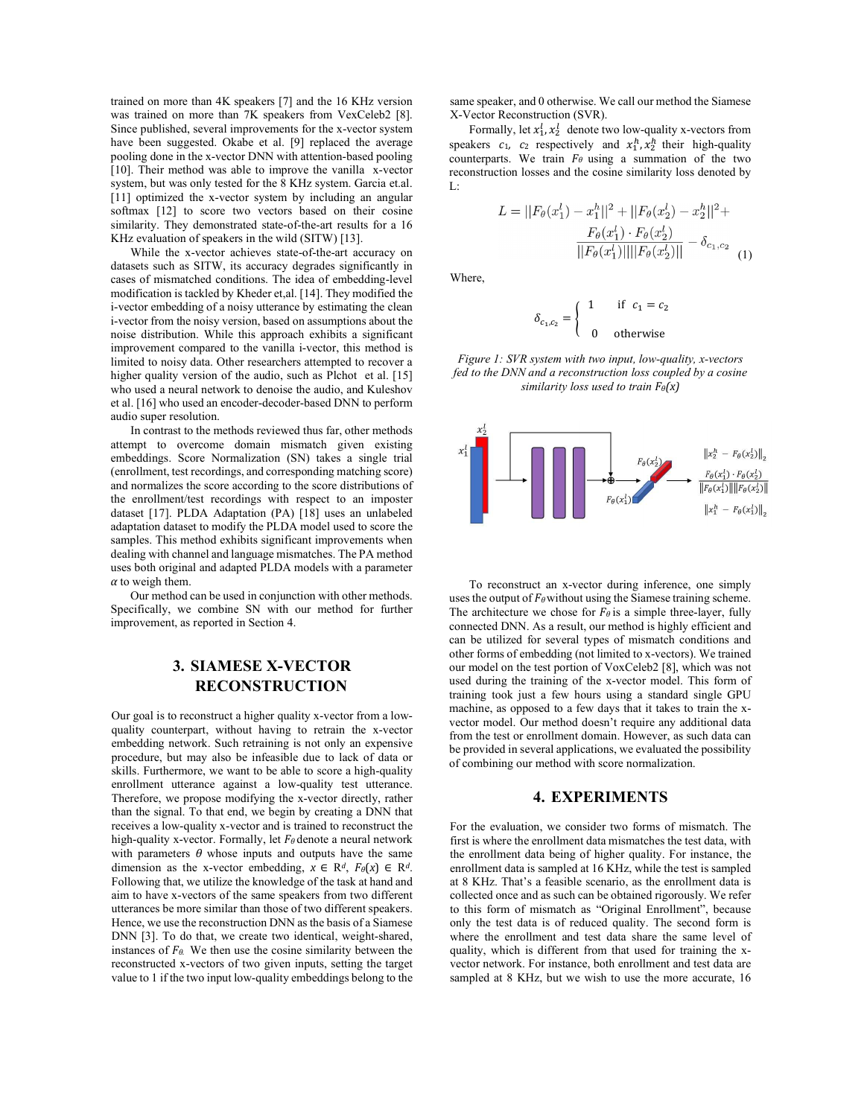trained on more than 4K speakers [7] and the 16 KHz version was trained on more than 7K speakers from VexCeleb2 [8]. Since published, several improvements for the x-vector system have been suggested. Okabe et al. [9] replaced the average pooling done in the x-vector DNN with attention-based pooling [10]. Their method was able to improve the vanilla x-vector system, but was only tested for the 8 KHz system. Garcia et.al. [11] optimized the x-vector system by including an angular softmax [12] to score two vectors based on their cosine similarity. They demonstrated state-of-the-art results for a 16 KHz evaluation of speakers in the wild (SITW) [13].

While the x-vector achieves state-of-the-art accuracy on datasets such as SITW, its accuracy degrades significantly in cases of mismatched conditions. The idea of embedding-level modification is tackled by Kheder et,al. [14]. They modified the i-vector embedding of a noisy utterance by estimating the clean i-vector from the noisy version, based on assumptions about the noise distribution. While this approach exhibits a significant improvement compared to the vanilla i-vector, this method is limited to noisy data. Other researchers attempted to recover a higher quality version of the audio, such as Plchot et al. [15] who used a neural network to denoise the audio, and Kuleshov et al. [16] who used an encoder-decoder-based DNN to perform audio super resolution.

In contrast to the methods reviewed thus far, other methods attempt to overcome domain mismatch given existing embeddings. Score Normalization (SN) takes a single trial (enrollment, test recordings, and corresponding matching score) and normalizes the score according to the score distributions of the enrollment/test recordings with respect to an imposter dataset [17]. PLDA Adaptation (PA) [18] uses an unlabeled adaptation dataset to modify the PLDA model used to score the samples. This method exhibits significant improvements when dealing with channel and language mismatches. The PA method uses both original and adapted PLDA models with a parameter  $\alpha$  to weigh them.

Our method can be used in conjunction with other methods. Specifically, we combine SN with our method for further improvement, as reported in Section 4.

## 3. SIAMESE X-VECTOR RECONSTRUCTION

Our goal is to reconstruct a higher quality x-vector from a lowquality counterpart, without having to retrain the x-vector embedding network. Such retraining is not only an expensive procedure, but may also be infeasible due to lack of data or skills. Furthermore, we want to be able to score a high-quality enrollment utterance against a low-quality test utterance. Therefore, we propose modifying the x-vector directly, rather than the signal. To that end, we begin by creating a DNN that receives a low-quality x-vector and is trained to reconstruct the high-quality x-vector. Formally, let  $F_{\theta}$  denote a neural network with parameters  $\theta$  whose inputs and outputs have the same dimension as the x-vector embedding,  $x \in \mathbb{R}^d$ ,  $F_{\theta}(x) \in \mathbb{R}^d$ .<br>Following that, we utilize the knowledge of the task at hand and aim to have x-vectors of the same speakers from two different utterances be more similar than those of two different speakers. Hence, we use the reconstruction DNN as the basis of a Siamese DNN [3]. To do that, we create two identical, weight-shared, instances of  $F_{\theta}$ . We then use the cosine similarity between the reconstructed x-vectors of two given inputs, setting the target value to 1 if the two input low-quality embeddings belong to the

same speaker, and 0 otherwise. We call our method the Siamese X-Vector Reconstruction (SVR).

Formally, let  $x_1^l$ ,  $x_2^l$  denote two low-quality x-vectors from otherwise. We call our method the Siamese<br>
cction (SVR).<br>  $x_2^l$  denote two low-quality x-vectors from<br>
spectively and  $x_1^h$ ,  $x_2^h$  their high-quality<br>
rain  $F_\theta$  using a summation of the two<br>
s and the cosine simila speakers  $c_1$ ,  $c_2$  respectively and  $x_1^h$ ,  $x_2^h$  their high-quality our method the Siamese<br>
-quality x-vectors from<br>
,  $x_2^h$  their high-quality<br>
ummation of the two<br>
uilarity loss denoted by<br>  $F_{\theta}(x_2^l) - x_2^h||^2 +$ <br>  $F_{\theta}(x_2^l) - \delta_{c_1,c_2}$ counterparts. We train  $F_{\theta}$  using a summation of the two reconstruction losses and the cosine similarity loss denoted by L: ise. We call our method the Siamese<br>
SVR).<br>
SVR).<br>
Hoote two low-quality x-vectors from<br>
ely and  $x_1^n, x_2^n$  their high-quality<br> *y* using a summation of the two<br>
ne cosine similarity loss denoted by<br>  $-x_1^h ||^2 + ||F_\theta(x_2^l)$ 

$$
L = ||F_{\theta}(x_1^l) - x_1^h||^2 + ||F_{\theta}(x_2^l) - x_2^h||^2 +
$$
  

$$
\frac{F_{\theta}(x_1^l) \cdot F_{\theta}(x_2^l)}{||F_{\theta}(x_1^l)|| ||F_{\theta}(x_2^l)||} - \delta_{c_1, c_2}
$$
 (1)

Where,

$$
\delta_{c_1,c_2} = \begin{cases} 1 & \text{if } c_1 = c_2 \\ 0 & \text{otherwise} \end{cases}
$$

Figure 1: SVR system with two input, low-quality, x-vectors fed to the DNN and a reconstruction loss coupled by a cosine similarity loss used to train  $F_{\theta}(x)$ 



To reconstruct an x-vector during inference, one simply uses the output of  $F_{\theta}$  without using the Siamese training scheme. The architecture we chose for  $F_\theta$  is a simple three-layer, fully connected DNN. As a result, our method is highly efficient and can be utilized for several types of mismatch conditions and other forms of embedding (not limited to x-vectors). We trained our model on the test portion of VoxCeleb2 [8], which was not used during the training of the x-vector model. This form of training took just a few hours using a standard single GPU machine, as opposed to a few days that it takes to train the xvector model. Our method doesn't require any additional data from the test or enrollment domain. However, as such data can be provided in several applications, we evaluated the possibility of combining our method with score normalization.

## 4. EXPERIMENTS

For the evaluation, we consider two forms of mismatch. The first is where the enrollment data mismatches the test data, with the enrollment data being of higher quality. For instance, the enrollment data is sampled at 16 KHz, while the test is sampled at 8 KHz. That's a feasible scenario, as the enrollment data is collected once and as such can be obtained rigorously. We refer to this form of mismatch as "Original Enrollment", because only the test data is of reduced quality. The second form is where the enrollment and test data share the same level of quality, which is different from that used for training the xvector network. For instance, both enrollment and test data are sampled at 8 KHz, but we wish to use the more accurate, 16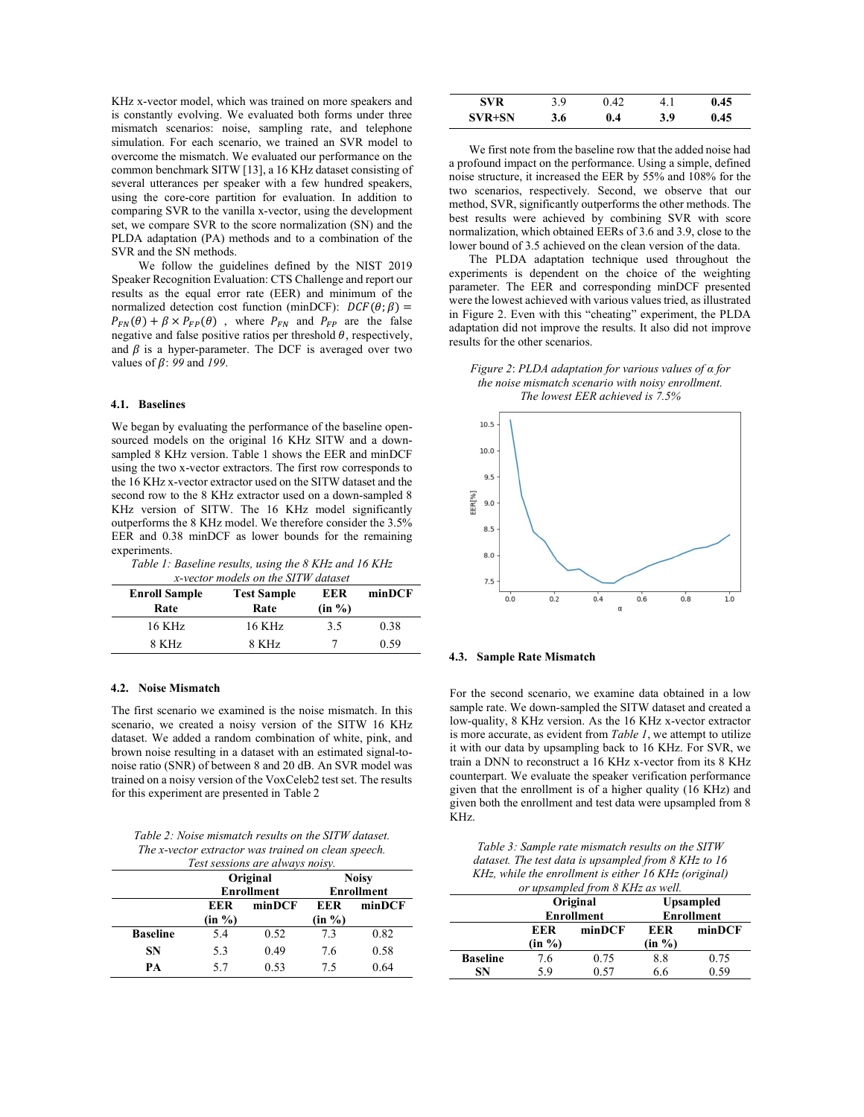KHz x-vector model, which was trained on more speakers and is constantly evolving. We evaluated both forms under three mismatch scenarios: noise, sampling rate, and telephone simulation. For each scenario, we trained an SVR model to overcome the mismatch. We evaluated our performance on the common benchmark SITW [13], a 16 KHz dataset consisting of several utterances per speaker with a few hundred speakers, using the core-core partition for evaluation. In addition to comparing SVR to the vanilla x-vector, using the development set, we compare SVR to the score normalization (SN) and the PLDA adaptation (PA) methods and to a combination of the SVR and the SN methods.

We follow the guidelines defined by the NIST 2019 Speaker Recognition Evaluation: CTS Challenge and report our results as the equal error rate (EER) and minimum of the normalized detection cost function (minDCF):  $DCF(\theta; \beta) =$  $P_{FN}(\theta) + \beta \times P_{FP}(\theta)$ , where  $P_{FN}$  and  $P_{FP}$  are the false negative and false positive ratios per threshold  $\theta$ , respectively, and  $\beta$  is a hyper-parameter. The DCF is averaged over two values of  $\beta$ : 99 and 199.

#### 4.1. Baselines

We began by evaluating the performance of the baseline opensourced models on the original 16 KHz SITW and a downsampled 8 KHz version. Table 1 shows the EER and minDCF using the two x-vector extractors. The first row corresponds to the 16 KHz x-vector extractor used on the SITW dataset and the second row to the 8 KHz extractor used on a down-sampled 8 KHz version of SITW. The 16 KHz model significantly outperforms the 8 KHz model. We therefore consider the 3.5% EER and 0.38 minDCF as lower bounds for the remaining experiments.

| Table 1: Baseline results, using the 8 KHz and 16 KHz |  |  |  |
|-------------------------------------------------------|--|--|--|
|                                                       |  |  |  |

| x-vector models on the SITW dataset |                    |        |        |  |  |  |  |
|-------------------------------------|--------------------|--------|--------|--|--|--|--|
| <b>Enroll Sample</b>                | <b>Test Sample</b> | EER    | minDCF |  |  |  |  |
| Rate                                | Rate               | (in %) |        |  |  |  |  |
| 16 KHz                              | 16 KHz             | 3.5    | 0.38   |  |  |  |  |
| 8 KHz                               | 8 KHz              |        | 0.59   |  |  |  |  |

#### 4.2. Noise Mismatch

The first scenario we examined is the noise mismatch. In this scenario, we created a noisy version of the SITW 16 KHz dataset. We added a random combination of white, pink, and brown noise resulting in a dataset with an estimated signal-tonoise ratio (SNR) of between 8 and 20 dB. An SVR model was trained on a noisy version of the VoxCeleb2 test set. The results for this experiment are presented in Table 2

Table 2: Noise mismatch results on the SITW dataset. The x-vector extractor was trained on clean speech.

| Test sessions are always noisy. |          |                   |              |                   |  |  |
|---------------------------------|----------|-------------------|--------------|-------------------|--|--|
|                                 | Original |                   | <b>Noisy</b> |                   |  |  |
|                                 |          | <b>Enrollment</b> |              | <b>Enrollment</b> |  |  |
|                                 | EER      | minDCF            |              | minDCF            |  |  |
|                                 | (in %)   |                   | (in %)       |                   |  |  |
| <b>Baseline</b>                 | 5.4      | 0.52              | 7.3          | 0.82              |  |  |
| <b>SN</b>                       | 5.3      | 0.49              | 7.6          | 0.58              |  |  |
| PА                              | 5.7      | 0.53              | 7.5          | 0.64              |  |  |

| SVR    | 3.9 | .42     | +. 1 | 0.45 |
|--------|-----|---------|------|------|
| SVR+SN | 3.6 | $0.4\,$ | 3.9  | 0.45 |

We first note from the baseline row that the added noise had a profound impact on the performance. Using a simple, defined noise structure, it increased the EER by 55% and 108% for the two scenarios, respectively. Second, we observe that our method, SVR, significantly outperforms the other methods. The best results were achieved by combining SVR with score normalization, which obtained EERs of 3.6 and 3.9, close to the lower bound of 3.5 achieved on the clean version of the data.

The PLDA adaptation technique used throughout the experiments is dependent on the choice of the weighting parameter. The EER and corresponding minDCF presented were the lowest achieved with various values tried, as illustrated in Figure 2. Even with this "cheating" experiment, the PLDA adaptation did not improve the results. It also did not improve results for the other scenarios.

Figure 2: PLDA adaptation for various values of α for the noise mismatch scenario with noisy enrollment. The lowest EER achieved is 7.5%



#### 4.3. Sample Rate Mismatch

For the second scenario, we examine data obtained in a low sample rate. We down-sampled the SITW dataset and created a low-quality, 8 KHz version. As the 16 KHz x-vector extractor is more accurate, as evident from Table 1, we attempt to utilize it with our data by upsampling back to 16 KHz. For SVR, we train a DNN to reconstruct a 16 KHz x-vector from its 8 KHz counterpart. We evaluate the speaker verification performance given that the enrollment is of a higher quality (16 KHz) and given both the enrollment and test data were upsampled from 8 KHz.

Table 3: Sample rate mismatch results on the SITW dataset. The test data is upsampled from 8 KHz to 16 KHz, while the enrollment is either 16 KHz (original)

| or upsampled from 8 KHz as well. |        |                   |                   |        |  |  |  |
|----------------------------------|--------|-------------------|-------------------|--------|--|--|--|
|                                  |        | Original          | <b>Upsampled</b>  |        |  |  |  |
|                                  |        | <b>Enrollment</b> | <b>Enrollment</b> |        |  |  |  |
|                                  | EER    | minDCF            | EER               | minDCF |  |  |  |
|                                  | (in %) |                   | (in %)            |        |  |  |  |
| <b>Baseline</b>                  | 7.6    | 0.75              | 8.8               | 0.75   |  |  |  |
| SN                               | 5.9    | 0.57              | 6.6               | 0.59   |  |  |  |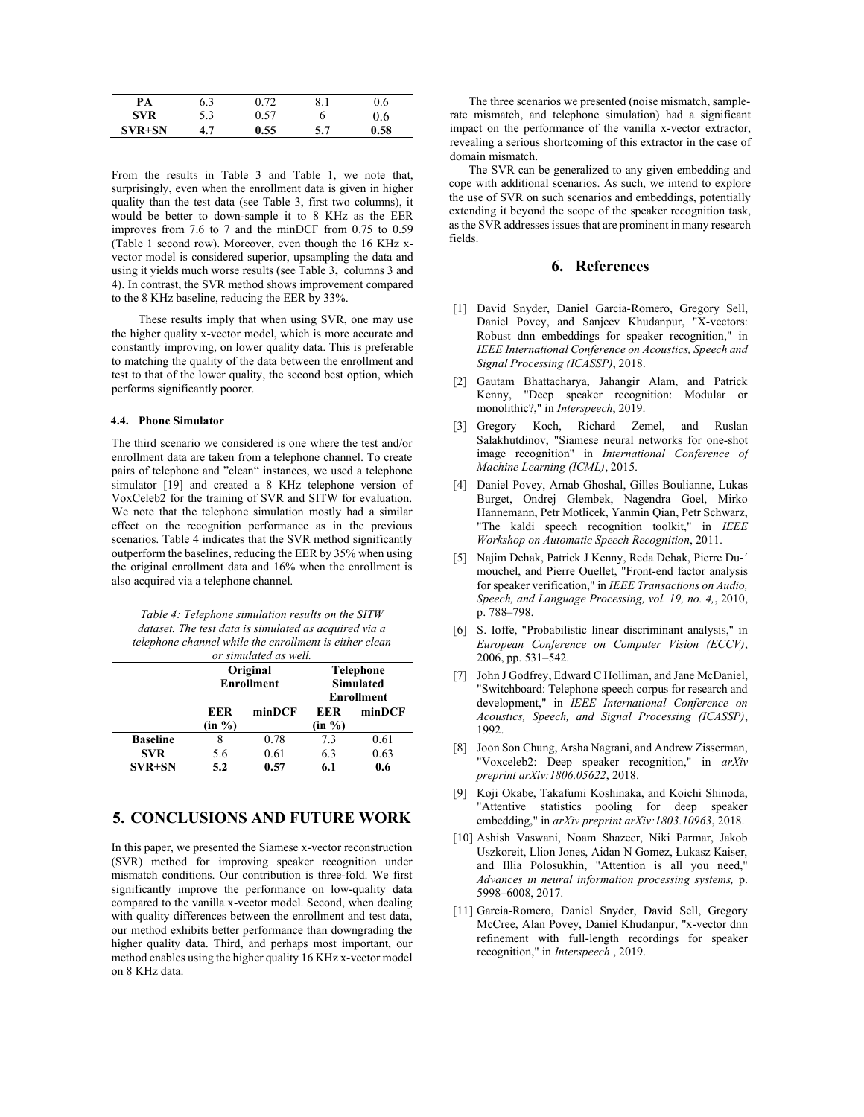| PA         | 6.3 | 0.72 | 8.1 | 0.6  |
|------------|-----|------|-----|------|
| <b>SVR</b> | 5.3 | 0.57 |     | 0.6  |
| SVR+SN     | 4.7 | 0.55 | 5.7 | 0.58 |

From the results in Table 3 and Table 1, we note that, surprisingly, even when the enrollment data is given in higher quality than the test data (see Table 3, first two columns), it would be better to down-sample it to 8 KHz as the EER improves from 7.6 to 7 and the minDCF from 0.75 to 0.59 (Table 1 second row). Moreover, even though the 16 KHz xvector model is considered superior, upsampling the data and using it yields much worse results (see Table 3, columns 3 and 4). In contrast, the SVR method shows improvement compared to the 8 KHz baseline, reducing the EER by 33%.

These results imply that when using SVR, one may use the higher quality x-vector model, which is more accurate and constantly improving, on lower quality data. This is preferable to matching the quality of the data between the enrollment and test to that of the lower quality, the second best option, which performs significantly poorer.

#### 4.4. Phone Simulator

The third scenario we considered is one where the test and/or enrollment data are taken from a telephone channel. To create pairs of telephone and "clean" instances, we used a telephone simulator [19] and created a 8 KHz telephone version of VoxCeleb2 for the training of SVR and SITW for evaluation. We note that the telephone simulation mostly had a similar effect on the recognition performance as in the previous scenarios. Table 4 indicates that the SVR method significantly outperform the baselines, reducing the EER by 35% when using the original enrollment data and 16% when the enrollment is also acquired via a telephone channel.

| Table 4: Telephone simulation results on the SITW      |
|--------------------------------------------------------|
| dataset. The test data is simulated as acquired via a  |
| telephone channel while the enrollment is either clean |
| or simulated as well                                   |

|                 | Original          |        |                   | <b>Telephone</b> |  |
|-----------------|-------------------|--------|-------------------|------------------|--|
|                 | <b>Enrollment</b> |        | <b>Simulated</b>  |                  |  |
|                 |                   |        | <b>Enrollment</b> |                  |  |
|                 | EER               | minDCF | EER               | minDCF           |  |
|                 | (in %)            |        | (in %)            |                  |  |
| <b>Baseline</b> |                   | 0.78   | 7.3               | 0.61             |  |
| <b>SVR</b>      | 5.6               | 0.61   | 6.3               | 0.63             |  |
| <b>SVR+SN</b>   | 5.2               | 0.57   | 6.1               | 0.6              |  |

## 5. CONCLUSIONS AND FUTURE WORK

In this paper, we presented the Siamese x-vector reconstruction (SVR) method for improving speaker recognition under mismatch conditions. Our contribution is three-fold. We first significantly improve the performance on low-quality data compared to the vanilla x-vector model. Second, when dealing with quality differences between the enrollment and test data, our method exhibits better performance than downgrading the higher quality data. Third, and perhaps most important, our method enables using the higher quality 16 KHz x-vector model on 8 KHz data.

The three scenarios we presented (noise mismatch, samplerate mismatch, and telephone simulation) had a significant impact on the performance of the vanilla x-vector extractor, revealing a serious shortcoming of this extractor in the case of domain mismatch.

The SVR can be generalized to any given embedding and cope with additional scenarios. As such, we intend to explore the use of SVR on such scenarios and embeddings, potentially extending it beyond the scope of the speaker recognition task, as the SVR addresses issues that are prominent in many research fields.

#### 6. References

- [1] David Snyder, Daniel Garcia-Romero, Gregory Sell, Daniel Povey, and Sanjeev Khudanpur, "X-vectors: Robust dnn embeddings for speaker recognition," in IEEE International Conference on Acoustics, Speech and Signal Processing (ICASSP), 2018.
- [2] Gautam Bhattacharya, Jahangir Alam, and Patrick Kenny, "Deep speaker recognition: Modular or monolithic?," in Interspeech, 2019.
- [3] Gregory Koch, Richard Zemel, and Ruslan Salakhutdinov, "Siamese neural networks for one-shot image recognition" in International Conference of Machine Learning (ICML), 2015.
- [4] Daniel Povey, Arnab Ghoshal, Gilles Boulianne, Lukas Burget, Ondrej Glembek, Nagendra Goel, Mirko Hannemann, Petr Motlicek, Yanmin Qian, Petr Schwarz, "The kaldi speech recognition toolkit," in IEEE Workshop on Automatic Speech Recognition, 2011.
- [5] Najim Dehak, Patrick J Kenny, Reda Dehak, Pierre Du-´ mouchel, and Pierre Ouellet, "Front-end factor analysis for speaker verification," in *IEEE Transactions on Audio*, Speech, and Language Processing, vol. 19, no. 4,, 2010, p. 788–798.
- [6] S. Ioffe, "Probabilistic linear discriminant analysis," in European Conference on Computer Vision (ECCV), 2006, pp. 531–542.
- [7] John J Godfrey, Edward C Holliman, and Jane McDaniel, "Switchboard: Telephone speech corpus for research and development," in IEEE International Conference on Acoustics, Speech, and Signal Processing (ICASSP), 1992.
- [8] Joon Son Chung, Arsha Nagrani, and Andrew Zisserman, "Voxceleb2: Deep speaker recognition," in arXiv preprint arXiv:1806.05622, 2018.
- [9] Koji Okabe, Takafumi Koshinaka, and Koichi Shinoda, "Attentive statistics pooling for deep speaker embedding," in arXiv preprint arXiv:1803.10963, 2018.
- [10] Ashish Vaswani, Noam Shazeer, Niki Parmar, Jakob Uszkoreit, Llion Jones, Aidan N Gomez, Łukasz Kaiser, and Illia Polosukhin, "Attention is all you need," Advances in neural information processing systems, p. 5998–6008, 2017.
- [11] Garcia-Romero, Daniel Snyder, David Sell, Gregory McCree, Alan Povey, Daniel Khudanpur, "x-vector dnn refinement with full-length recordings for speaker recognition," in Interspeech , 2019.